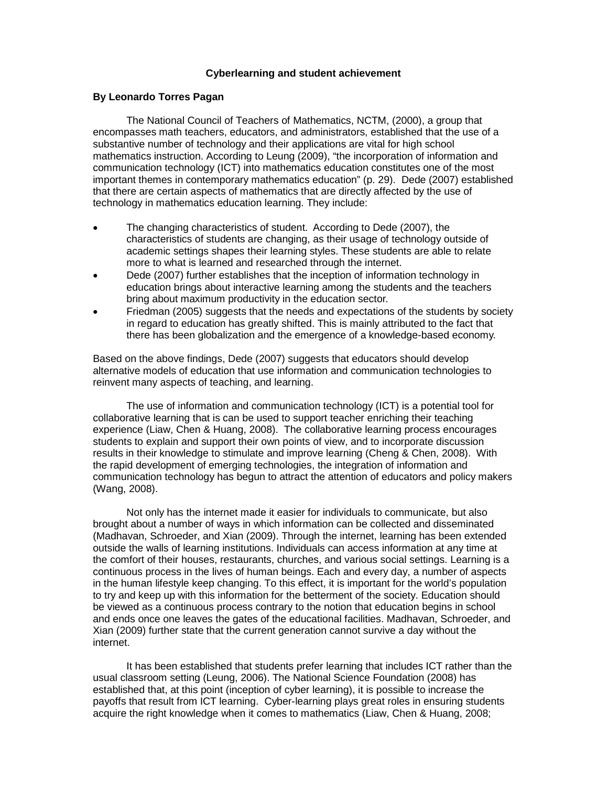## **Cyberlearning and student achievement**

### **By Leonardo Torres Pagan**

The National Council of Teachers of Mathematics, NCTM, (2000), a group that encompasses math teachers, educators, and administrators, established that the use of a substantive number of technology and their applications are vital for high school mathematics instruction. According to Leung (2009), "the incorporation of information and communication technology (ICT) into mathematics education constitutes one of the most important themes in contemporary mathematics education" (p. 29). Dede (2007) established that there are certain aspects of mathematics that are directly affected by the use of technology in mathematics education learning. They include:

- The changing characteristics of student. According to Dede (2007), the characteristics of students are changing, as their usage of technology outside of academic settings shapes their learning styles. These students are able to relate more to what is learned and researched through the internet.
- Dede (2007) further establishes that the inception of information technology in education brings about interactive learning among the students and the teachers bring about maximum productivity in the education sector.
- Friedman (2005) suggests that the needs and expectations of the students by society in regard to education has greatly shifted. This is mainly attributed to the fact that there has been globalization and the emergence of a knowledge-based economy.

Based on the above findings, Dede (2007) suggests that educators should develop alternative models of education that use information and communication technologies to reinvent many aspects of teaching, and learning.

The use of information and communication technology (ICT) is a potential tool for collaborative learning that is can be used to support teacher enriching their teaching experience (Liaw, Chen & Huang, 2008). The collaborative learning process encourages students to explain and support their own points of view, and to incorporate discussion results in their knowledge to stimulate and improve learning (Cheng & Chen, 2008). With the rapid development of emerging technologies, the integration of information and communication technology has begun to attract the attention of educators and policy makers (Wang, 2008).

Not only has the internet made it easier for individuals to communicate, but also brought about a number of ways in which information can be collected and disseminated (Madhavan, Schroeder, and Xian (2009). Through the internet, learning has been extended outside the walls of learning institutions. Individuals can access information at any time at the comfort of their houses, restaurants, churches, and various social settings. Learning is a continuous process in the lives of human beings. Each and every day, a number of aspects in the human lifestyle keep changing. To this effect, it is important for the world's population to try and keep up with this information for the betterment of the society. Education should be viewed as a continuous process contrary to the notion that education begins in school and ends once one leaves the gates of the educational facilities. Madhavan, Schroeder, and Xian (2009) further state that the current generation cannot survive a day without the internet.

It has been established that students prefer learning that includes ICT rather than the usual classroom setting (Leung, 2006). The National Science Foundation (2008) has established that, at this point (inception of cyber learning), it is possible to increase the payoffs that result from ICT learning. Cyber-learning plays great roles in ensuring students acquire the right knowledge when it comes to mathematics (Liaw, Chen & Huang, 2008;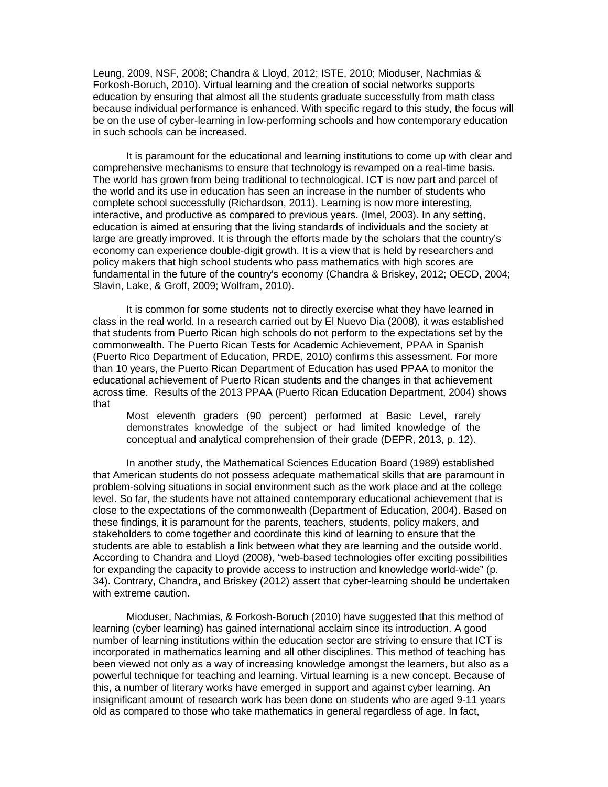Leung, 2009, NSF, 2008; Chandra & Lloyd, 2012; ISTE, 2010; Mioduser, Nachmias & Forkosh-Boruch, 2010). Virtual learning and the creation of social networks supports education by ensuring that almost all the students graduate successfully from math class because individual performance is enhanced. With specific regard to this study, the focus will be on the use of cyber-learning in low-performing schools and how contemporary education in such schools can be increased.

It is paramount for the educational and learning institutions to come up with clear and comprehensive mechanisms to ensure that technology is revamped on a real-time basis. The world has grown from being traditional to technological. ICT is now part and parcel of the world and its use in education has seen an increase in the number of students who complete school successfully (Richardson, 2011). Learning is now more interesting, interactive, and productive as compared to previous years. (Imel, 2003). In any setting, education is aimed at ensuring that the living standards of individuals and the society at large are greatly improved. It is through the efforts made by the scholars that the country's economy can experience double-digit growth. It is a view that is held by researchers and policy makers that high school students who pass mathematics with high scores are fundamental in the future of the country's economy (Chandra & Briskey, 2012; OECD, 2004; Slavin, Lake, & Groff, 2009; Wolfram, 2010).

It is common for some students not to directly exercise what they have learned in class in the real world. In a research carried out by El Nuevo Dia (2008), it was established that students from Puerto Rican high schools do not perform to the expectations set by the commonwealth. The Puerto Rican Tests for Academic Achievement, PPAA in Spanish (Puerto Rico Department of Education, PRDE, 2010) confirms this assessment. For more than 10 years, the Puerto Rican Department of Education has used PPAA to monitor the educational achievement of Puerto Rican students and the changes in that achievement across time. Results of the 2013 PPAA (Puerto Rican Education Department, 2004) shows that

Most eleventh graders (90 percent) performed at Basic Level, rarely demonstrates knowledge of the subject or had limited knowledge of the conceptual and analytical comprehension of their grade (DEPR, 2013, p. 12).

In another study, the Mathematical Sciences Education Board (1989) established that American students do not possess adequate mathematical skills that are paramount in problem-solving situations in social environment such as the work place and at the college level. So far, the students have not attained contemporary educational achievement that is close to the expectations of the commonwealth (Department of Education, 2004). Based on these findings, it is paramount for the parents, teachers, students, policy makers, and stakeholders to come together and coordinate this kind of learning to ensure that the students are able to establish a link between what they are learning and the outside world. According to Chandra and Lloyd (2008), "web-based technologies offer exciting possibilities for expanding the capacity to provide access to instruction and knowledge world-wide" (p. 34). Contrary, Chandra, and Briskey (2012) assert that cyber-learning should be undertaken with extreme caution.

Mioduser, Nachmias, & Forkosh-Boruch (2010) have suggested that this method of learning (cyber learning) has gained international acclaim since its introduction. A good number of learning institutions within the education sector are striving to ensure that ICT is incorporated in mathematics learning and all other disciplines. This method of teaching has been viewed not only as a way of increasing knowledge amongst the learners, but also as a powerful technique for teaching and learning. Virtual learning is a new concept. Because of this, a number of literary works have emerged in support and against cyber learning. An insignificant amount of research work has been done on students who are aged 9-11 years old as compared to those who take mathematics in general regardless of age. In fact,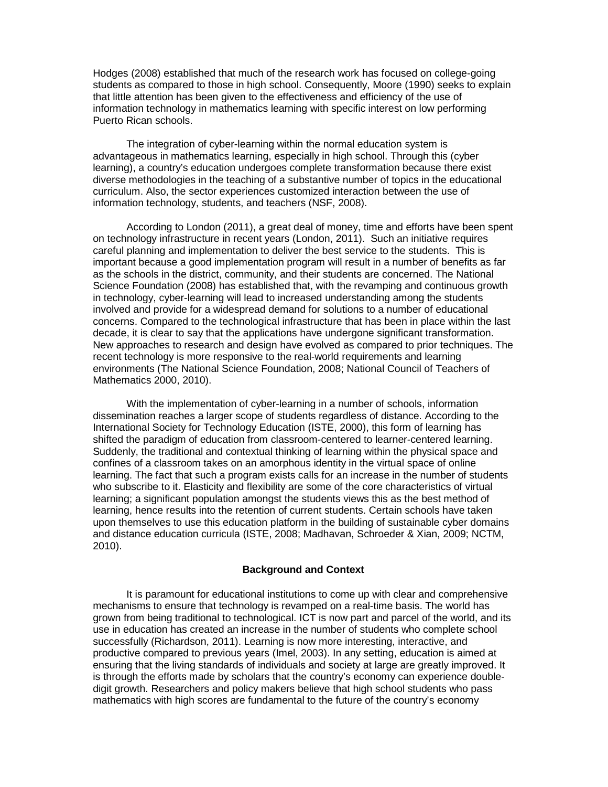Hodges (2008) established that much of the research work has focused on college-going students as compared to those in high school. Consequently, Moore (1990) seeks to explain that little attention has been given to the effectiveness and efficiency of the use of information technology in mathematics learning with specific interest on low performing Puerto Rican schools.

The integration of cyber-learning within the normal education system is advantageous in mathematics learning, especially in high school. Through this (cyber learning), a country's education undergoes complete transformation because there exist diverse methodologies in the teaching of a substantive number of topics in the educational curriculum. Also, the sector experiences customized interaction between the use of information technology, students, and teachers (NSF, 2008).

According to London (2011), a great deal of money, time and efforts have been spent on technology infrastructure in recent years (London, 2011). Such an initiative requires careful planning and implementation to deliver the best service to the students. This is important because a good implementation program will result in a number of benefits as far as the schools in the district, community, and their students are concerned. The National Science Foundation (2008) has established that, with the revamping and continuous growth in technology, cyber-learning will lead to increased understanding among the students involved and provide for a widespread demand for solutions to a number of educational concerns. Compared to the technological infrastructure that has been in place within the last decade, it is clear to say that the applications have undergone significant transformation. New approaches to research and design have evolved as compared to prior techniques. The recent technology is more responsive to the real-world requirements and learning environments (The National Science Foundation, 2008; National Council of Teachers of Mathematics 2000, 2010).

With the implementation of cyber-learning in a number of schools, information dissemination reaches a larger scope of students regardless of distance. According to the International Society for Technology Education (ISTE, 2000), this form of learning has shifted the paradigm of education from classroom-centered to learner-centered learning. Suddenly, the traditional and contextual thinking of learning within the physical space and confines of a classroom takes on an amorphous identity in the virtual space of online learning. The fact that such a program exists calls for an increase in the number of students who subscribe to it. Elasticity and flexibility are some of the core characteristics of virtual learning; a significant population amongst the students views this as the best method of learning, hence results into the retention of current students. Certain schools have taken upon themselves to use this education platform in the building of sustainable cyber domains and distance education curricula (ISTE, 2008; Madhavan, Schroeder & Xian, 2009; NCTM, 2010).

## **Background and Context**

It is paramount for educational institutions to come up with clear and comprehensive mechanisms to ensure that technology is revamped on a real-time basis. The world has grown from being traditional to technological. ICT is now part and parcel of the world, and its use in education has created an increase in the number of students who complete school successfully (Richardson, 2011). Learning is now more interesting, interactive, and productive compared to previous years (Imel, 2003). In any setting, education is aimed at ensuring that the living standards of individuals and society at large are greatly improved. It is through the efforts made by scholars that the country's economy can experience doubledigit growth. Researchers and policy makers believe that high school students who pass mathematics with high scores are fundamental to the future of the country's economy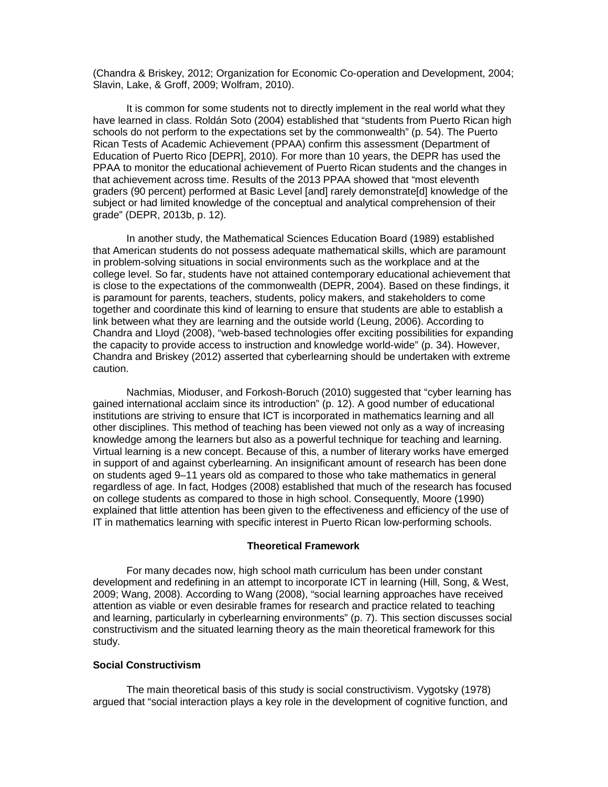(Chandra & Briskey, 2012; Organization for Economic Co-operation and Development, 2004; Slavin, Lake, & Groff, 2009; Wolfram, 2010).

It is common for some students not to directly implement in the real world what they have learned in class. Roldán Soto (2004) established that "students from Puerto Rican high schools do not perform to the expectations set by the commonwealth" (p. 54). The Puerto Rican Tests of Academic Achievement (PPAA) confirm this assessment (Department of Education of Puerto Rico [DEPR], 2010). For more than 10 years, the DEPR has used the PPAA to monitor the educational achievement of Puerto Rican students and the changes in that achievement across time. Results of the 2013 PPAA showed that "most eleventh graders (90 percent) performed at Basic Level [and] rarely demonstrate[d] knowledge of the subject or had limited knowledge of the conceptual and analytical comprehension of their grade" (DEPR, 2013b, p. 12).

In another study, the Mathematical Sciences Education Board (1989) established that American students do not possess adequate mathematical skills, which are paramount in problem-solving situations in social environments such as the workplace and at the college level. So far, students have not attained contemporary educational achievement that is close to the expectations of the commonwealth (DEPR, 2004). Based on these findings, it is paramount for parents, teachers, students, policy makers, and stakeholders to come together and coordinate this kind of learning to ensure that students are able to establish a link between what they are learning and the outside world (Leung, 2006). According to Chandra and Lloyd (2008), "web-based technologies offer exciting possibilities for expanding the capacity to provide access to instruction and knowledge world-wide" (p. 34). However, Chandra and Briskey (2012) asserted that cyberlearning should be undertaken with extreme caution.

Nachmias, Mioduser, and Forkosh-Boruch (2010) suggested that "cyber learning has gained international acclaim since its introduction" (p. 12). A good number of educational institutions are striving to ensure that ICT is incorporated in mathematics learning and all other disciplines. This method of teaching has been viewed not only as a way of increasing knowledge among the learners but also as a powerful technique for teaching and learning. Virtual learning is a new concept. Because of this, a number of literary works have emerged in support of and against cyberlearning. An insignificant amount of research has been done on students aged 9–11 years old as compared to those who take mathematics in general regardless of age. In fact, Hodges (2008) established that much of the research has focused on college students as compared to those in high school. Consequently, Moore (1990) explained that little attention has been given to the effectiveness and efficiency of the use of IT in mathematics learning with specific interest in Puerto Rican low-performing schools.

## **Theoretical Framework**

For many decades now, high school math curriculum has been under constant development and redefining in an attempt to incorporate ICT in learning (Hill, Song, & West, 2009; Wang, 2008). According to Wang (2008), "social learning approaches have received attention as viable or even desirable frames for research and practice related to teaching and learning, particularly in cyberlearning environments" (p. 7). This section discusses social constructivism and the situated learning theory as the main theoretical framework for this study.

## **Social Constructivism**

The main theoretical basis of this study is social constructivism. Vygotsky (1978) argued that "social interaction plays a key role in the development of cognitive function, and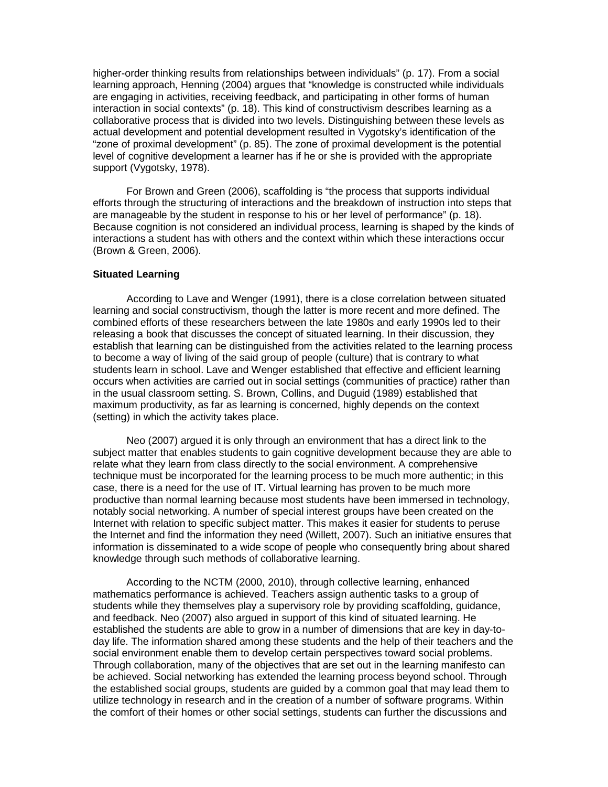higher-order thinking results from relationships between individuals" (p. 17). From a social learning approach, Henning (2004) argues that "knowledge is constructed while individuals are engaging in activities, receiving feedback, and participating in other forms of human interaction in social contexts" (p. 18). This kind of constructivism describes learning as a collaborative process that is divided into two levels. Distinguishing between these levels as actual development and potential development resulted in Vygotsky's identification of the "zone of proximal development" (p. 85). The zone of proximal development is the potential level of cognitive development a learner has if he or she is provided with the appropriate support (Vygotsky, 1978).

For Brown and Green (2006), scaffolding is "the process that supports individual efforts through the structuring of interactions and the breakdown of instruction into steps that are manageable by the student in response to his or her level of performance" (p. 18). Because cognition is not considered an individual process, learning is shaped by the kinds of interactions a student has with others and the context within which these interactions occur (Brown & Green, 2006).

## **Situated Learning**

According to Lave and Wenger (1991), there is a close correlation between situated learning and social constructivism, though the latter is more recent and more defined. The combined efforts of these researchers between the late 1980s and early 1990s led to their releasing a book that discusses the concept of situated learning. In their discussion, they establish that learning can be distinguished from the activities related to the learning process to become a way of living of the said group of people (culture) that is contrary to what students learn in school. Lave and Wenger established that effective and efficient learning occurs when activities are carried out in social settings (communities of practice) rather than in the usual classroom setting. S. Brown, Collins, and Duguid (1989) established that maximum productivity, as far as learning is concerned, highly depends on the context (setting) in which the activity takes place.

Neo (2007) argued it is only through an environment that has a direct link to the subject matter that enables students to gain cognitive development because they are able to relate what they learn from class directly to the social environment. A comprehensive technique must be incorporated for the learning process to be much more authentic; in this case, there is a need for the use of IT. Virtual learning has proven to be much more productive than normal learning because most students have been immersed in technology, notably social networking. A number of special interest groups have been created on the Internet with relation to specific subject matter. This makes it easier for students to peruse the Internet and find the information they need (Willett, 2007). Such an initiative ensures that information is disseminated to a wide scope of people who consequently bring about shared knowledge through such methods of collaborative learning.

According to the NCTM (2000, 2010), through collective learning, enhanced mathematics performance is achieved. Teachers assign authentic tasks to a group of students while they themselves play a supervisory role by providing scaffolding, guidance, and feedback. Neo (2007) also argued in support of this kind of situated learning. He established the students are able to grow in a number of dimensions that are key in day-today life. The information shared among these students and the help of their teachers and the social environment enable them to develop certain perspectives toward social problems. Through collaboration, many of the objectives that are set out in the learning manifesto can be achieved. Social networking has extended the learning process beyond school. Through the established social groups, students are guided by a common goal that may lead them to utilize technology in research and in the creation of a number of software programs. Within the comfort of their homes or other social settings, students can further the discussions and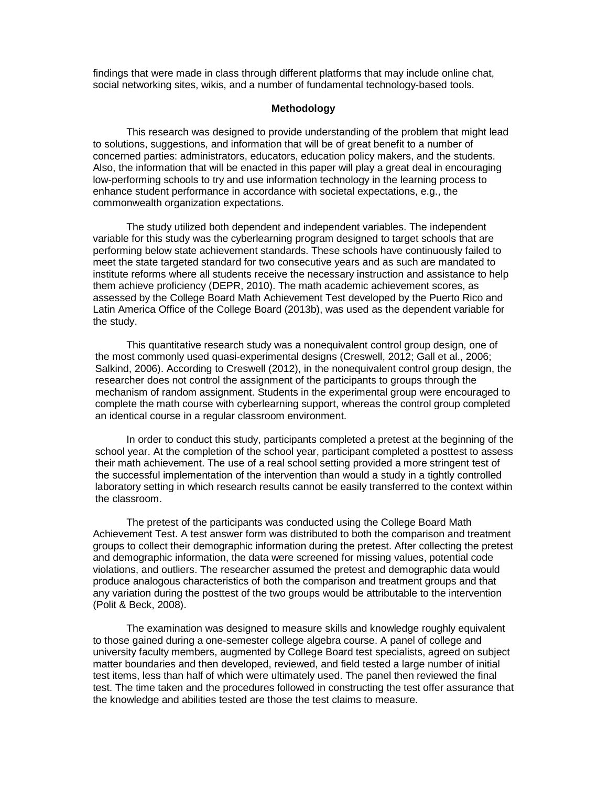findings that were made in class through different platforms that may include online chat, social networking sites, wikis, and a number of fundamental technology-based tools.

# **Methodology**

This research was designed to provide understanding of the problem that might lead to solutions, suggestions, and information that will be of great benefit to a number of concerned parties: administrators, educators, education policy makers, and the students. Also, the information that will be enacted in this paper will play a great deal in encouraging low-performing schools to try and use information technology in the learning process to enhance student performance in accordance with societal expectations, e.g., the commonwealth organization expectations.

The study utilized both dependent and independent variables. The independent variable for this study was the cyberlearning program designed to target schools that are performing below state achievement standards. These schools have continuously failed to meet the state targeted standard for two consecutive years and as such are mandated to institute reforms where all students receive the necessary instruction and assistance to help them achieve proficiency (DEPR, 2010). The math academic achievement scores, as assessed by the College Board Math Achievement Test developed by the Puerto Rico and Latin America Office of the College Board (2013b), was used as the dependent variable for the study.

This quantitative research study was a nonequivalent control group design, one of the most commonly used quasi-experimental designs (Creswell, 2012; Gall et al., 2006; Salkind, 2006). According to Creswell (2012), in the nonequivalent control group design, the researcher does not control the assignment of the participants to groups through the mechanism of random assignment. Students in the experimental group were encouraged to complete the math course with cyberlearning support, whereas the control group completed an identical course in a regular classroom environment.

In order to conduct this study, participants completed a pretest at the beginning of the school year. At the completion of the school year, participant completed a posttest to assess their math achievement. The use of a real school setting provided a more stringent test of the successful implementation of the intervention than would a study in a tightly controlled laboratory setting in which research results cannot be easily transferred to the context within the classroom.

The pretest of the participants was conducted using the College Board Math Achievement Test. A test answer form was distributed to both the comparison and treatment groups to collect their demographic information during the pretest. After collecting the pretest and demographic information, the data were screened for missing values, potential code violations, and outliers. The researcher assumed the pretest and demographic data would produce analogous characteristics of both the comparison and treatment groups and that any variation during the posttest of the two groups would be attributable to the intervention (Polit & Beck, 2008).

The examination was designed to measure skills and knowledge roughly equivalent to those gained during a one-semester college algebra course. A panel of college and university faculty members, augmented by College Board test specialists, agreed on subject matter boundaries and then developed, reviewed, and field tested a large number of initial test items, less than half of which were ultimately used. The panel then reviewed the final test. The time taken and the procedures followed in constructing the test offer assurance that the knowledge and abilities tested are those the test claims to measure.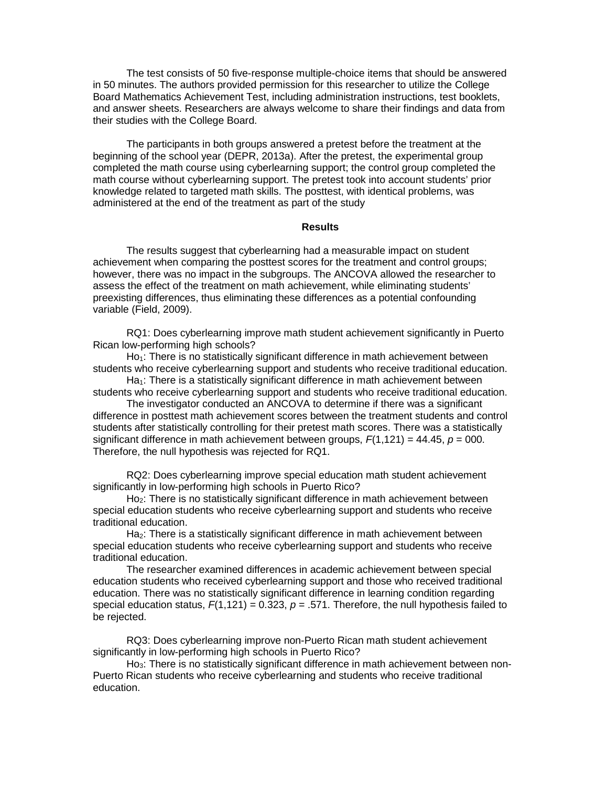The test consists of 50 five-response multiple-choice items that should be answered in 50 minutes. The authors provided permission for this researcher to utilize the College Board Mathematics Achievement Test, including administration instructions, test booklets, and answer sheets. Researchers are always welcome to share their findings and data from their studies with the College Board.

The participants in both groups answered a pretest before the treatment at the beginning of the school year (DEPR, 2013a). After the pretest, the experimental group completed the math course using cyberlearning support; the control group completed the math course without cyberlearning support. The pretest took into account students' prior knowledge related to targeted math skills. The posttest, with identical problems, was administered at the end of the treatment as part of the study

## **Results**

The results suggest that cyberlearning had a measurable impact on student achievement when comparing the posttest scores for the treatment and control groups; however, there was no impact in the subgroups. The ANCOVA allowed the researcher to assess the effect of the treatment on math achievement, while eliminating students' preexisting differences, thus eliminating these differences as a potential confounding variable (Field, 2009).

RQ1: Does cyberlearning improve math student achievement significantly in Puerto Rican low-performing high schools?

 $Ho_1$ : There is no statistically significant difference in math achievement between students who receive cyberlearning support and students who receive traditional education.

 $Ha_1$ : There is a statistically significant difference in math achievement between students who receive cyberlearning support and students who receive traditional education.

The investigator conducted an ANCOVA to determine if there was a significant difference in posttest math achievement scores between the treatment students and control students after statistically controlling for their pretest math scores. There was a statistically significant difference in math achievement between groups,  $F(1,121) = 44.45$ ,  $p = 000$ . Therefore, the null hypothesis was rejected for RQ1.

RQ2: Does cyberlearning improve special education math student achievement significantly in low-performing high schools in Puerto Rico?

Ho2: There is no statistically significant difference in math achievement between special education students who receive cyberlearning support and students who receive traditional education.

Ha2: There is a statistically significant difference in math achievement between special education students who receive cyberlearning support and students who receive traditional education.

The researcher examined differences in academic achievement between special education students who received cyberlearning support and those who received traditional education. There was no statistically significant difference in learning condition regarding special education status,  $F(1,121) = 0.323$ ,  $p = .571$ . Therefore, the null hypothesis failed to be rejected.

RQ3: Does cyberlearning improve non-Puerto Rican math student achievement significantly in low-performing high schools in Puerto Rico?

Ho<sub>3</sub>: There is no statistically significant difference in math achievement between non-Puerto Rican students who receive cyberlearning and students who receive traditional education.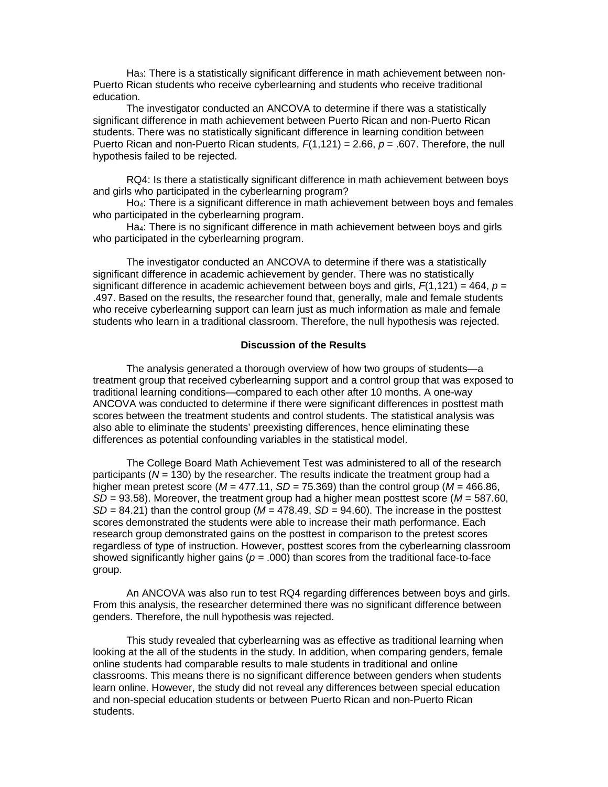Ha3: There is a statistically significant difference in math achievement between non-Puerto Rican students who receive cyberlearning and students who receive traditional education.

The investigator conducted an ANCOVA to determine if there was a statistically significant difference in math achievement between Puerto Rican and non-Puerto Rican students. There was no statistically significant difference in learning condition between Puerto Rican and non-Puerto Rican students, *F*(1,121) = 2.66, *p* = .607. Therefore, the null hypothesis failed to be rejected.

RQ4: Is there a statistically significant difference in math achievement between boys and girls who participated in the cyberlearning program?

Ho4: There is a significant difference in math achievement between boys and females who participated in the cyberlearning program.

Ha4: There is no significant difference in math achievement between boys and girls who participated in the cyberlearning program.

The investigator conducted an ANCOVA to determine if there was a statistically significant difference in academic achievement by gender. There was no statistically significant difference in academic achievement between boys and girls, *F*(1,121) = 464, *p* = .497. Based on the results, the researcher found that, generally, male and female students who receive cyberlearning support can learn just as much information as male and female students who learn in a traditional classroom. Therefore, the null hypothesis was rejected.

# **Discussion of the Results**

The analysis generated a thorough overview of how two groups of students—a treatment group that received cyberlearning support and a control group that was exposed to traditional learning conditions—compared to each other after 10 months. A one-way ANCOVA was conducted to determine if there were significant differences in posttest math scores between the treatment students and control students. The statistical analysis was also able to eliminate the students' preexisting differences, hence eliminating these differences as potential confounding variables in the statistical model.

The College Board Math Achievement Test was administered to all of the research participants (*N* = 130) by the researcher. The results indicate the treatment group had a higher mean pretest score ( $M = 477.11$ ,  $SD = 75.369$ ) than the control group ( $M = 466.86$ , *SD* = 93.58). Moreover, the treatment group had a higher mean posttest score (*M* = 587.60,  $SD = 84.21$ ) than the control group ( $M = 478.49$ ,  $SD = 94.60$ ). The increase in the posttest scores demonstrated the students were able to increase their math performance. Each research group demonstrated gains on the posttest in comparison to the pretest scores regardless of type of instruction. However, posttest scores from the cyberlearning classroom showed significantly higher gains ( $p = .000$ ) than scores from the traditional face-to-face group.

An ANCOVA was also run to test RQ4 regarding differences between boys and girls. From this analysis, the researcher determined there was no significant difference between genders. Therefore, the null hypothesis was rejected.

This study revealed that cyberlearning was as effective as traditional learning when looking at the all of the students in the study. In addition, when comparing genders, female online students had comparable results to male students in traditional and online classrooms. This means there is no significant difference between genders when students learn online. However, the study did not reveal any differences between special education and non-special education students or between Puerto Rican and non-Puerto Rican students.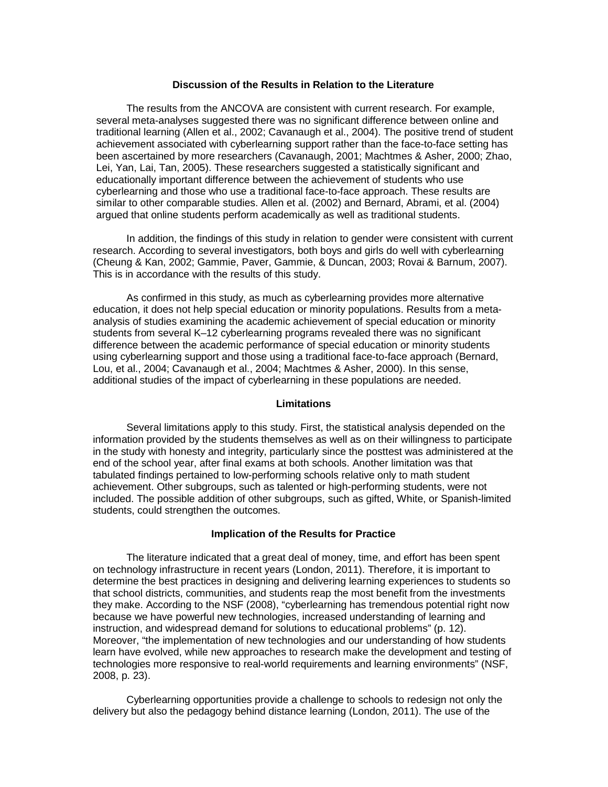### **Discussion of the Results in Relation to the Literature**

The results from the ANCOVA are consistent with current research. For example, several meta-analyses suggested there was no significant difference between online and traditional learning (Allen et al., 2002; Cavanaugh et al., 2004). The positive trend of student achievement associated with cyberlearning support rather than the face-to-face setting has been ascertained by more researchers (Cavanaugh, 2001; Machtmes & Asher, 2000; Zhao, Lei, Yan, Lai, Tan, 2005). These researchers suggested a statistically significant and educationally important difference between the achievement of students who use cyberlearning and those who use a traditional face-to-face approach. These results are similar to other comparable studies. Allen et al. (2002) and Bernard, Abrami, et al. (2004) argued that online students perform academically as well as traditional students.

In addition, the findings of this study in relation to gender were consistent with current research. According to several investigators, both boys and girls do well with cyberlearning (Cheung & Kan, 2002; Gammie, Paver, Gammie, & Duncan, 2003; Rovai & Barnum, 2007). This is in accordance with the results of this study.

As confirmed in this study, as much as cyberlearning provides more alternative education, it does not help special education or minority populations. Results from a metaanalysis of studies examining the academic achievement of special education or minority students from several K–12 cyberlearning programs revealed there was no significant difference between the academic performance of special education or minority students using cyberlearning support and those using a traditional face-to-face approach (Bernard, Lou, et al., 2004; Cavanaugh et al., 2004; Machtmes & Asher, 2000). In this sense, additional studies of the impact of cyberlearning in these populations are needed.

### **Limitations**

Several limitations apply to this study. First, the statistical analysis depended on the information provided by the students themselves as well as on their willingness to participate in the study with honesty and integrity, particularly since the posttest was administered at the end of the school year, after final exams at both schools. Another limitation was that tabulated findings pertained to low-performing schools relative only to math student achievement. Other subgroups, such as talented or high-performing students, were not included. The possible addition of other subgroups, such as gifted, White, or Spanish-limited students, could strengthen the outcomes.

#### **Implication of the Results for Practice**

The literature indicated that a great deal of money, time, and effort has been spent on technology infrastructure in recent years (London, 2011). Therefore, it is important to determine the best practices in designing and delivering learning experiences to students so that school districts, communities, and students reap the most benefit from the investments they make. According to the NSF (2008), "cyberlearning has tremendous potential right now because we have powerful new technologies, increased understanding of learning and instruction, and widespread demand for solutions to educational problems" (p. 12). Moreover, "the implementation of new technologies and our understanding of how students learn have evolved, while new approaches to research make the development and testing of technologies more responsive to real-world requirements and learning environments" (NSF, 2008, p. 23).

Cyberlearning opportunities provide a challenge to schools to redesign not only the delivery but also the pedagogy behind distance learning (London, 2011). The use of the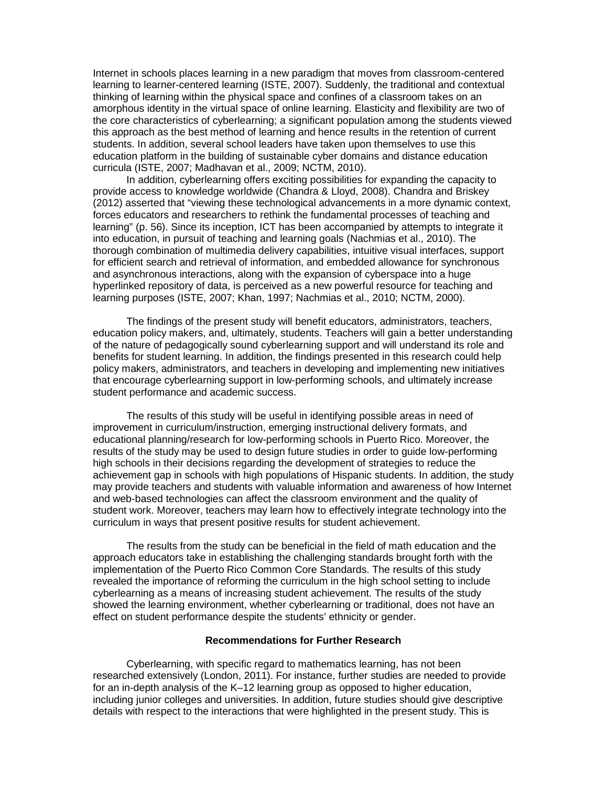Internet in schools places learning in a new paradigm that moves from classroom-centered learning to learner-centered learning (ISTE, 2007). Suddenly, the traditional and contextual thinking of learning within the physical space and confines of a classroom takes on an amorphous identity in the virtual space of online learning. Elasticity and flexibility are two of the core characteristics of cyberlearning; a significant population among the students viewed this approach as the best method of learning and hence results in the retention of current students. In addition, several school leaders have taken upon themselves to use this education platform in the building of sustainable cyber domains and distance education curricula (ISTE, 2007; Madhavan et al., 2009; NCTM, 2010).

In addition, cyberlearning offers exciting possibilities for expanding the capacity to provide access to knowledge worldwide (Chandra & Lloyd, 2008). Chandra and Briskey (2012) asserted that "viewing these technological advancements in a more dynamic context, forces educators and researchers to rethink the fundamental processes of teaching and learning" (p. 56). Since its inception, ICT has been accompanied by attempts to integrate it into education, in pursuit of teaching and learning goals (Nachmias et al., 2010). The thorough combination of multimedia delivery capabilities, intuitive visual interfaces, support for efficient search and retrieval of information, and embedded allowance for synchronous and asynchronous interactions, along with the expansion of cyberspace into a huge hyperlinked repository of data, is perceived as a new powerful resource for teaching and learning purposes (ISTE, 2007; Khan, 1997; Nachmias et al., 2010; NCTM, 2000).

The findings of the present study will benefit educators, administrators, teachers, education policy makers, and, ultimately, students. Teachers will gain a better understanding of the nature of pedagogically sound cyberlearning support and will understand its role and benefits for student learning. In addition, the findings presented in this research could help policy makers, administrators, and teachers in developing and implementing new initiatives that encourage cyberlearning support in low-performing schools, and ultimately increase student performance and academic success.

The results of this study will be useful in identifying possible areas in need of improvement in curriculum/instruction, emerging instructional delivery formats, and educational planning/research for low-performing schools in Puerto Rico. Moreover, the results of the study may be used to design future studies in order to guide low-performing high schools in their decisions regarding the development of strategies to reduce the achievement gap in schools with high populations of Hispanic students. In addition, the study may provide teachers and students with valuable information and awareness of how Internet and web-based technologies can affect the classroom environment and the quality of student work. Moreover, teachers may learn how to effectively integrate technology into the curriculum in ways that present positive results for student achievement.

The results from the study can be beneficial in the field of math education and the approach educators take in establishing the challenging standards brought forth with the implementation of the Puerto Rico Common Core Standards. The results of this study revealed the importance of reforming the curriculum in the high school setting to include cyberlearning as a means of increasing student achievement. The results of the study showed the learning environment, whether cyberlearning or traditional, does not have an effect on student performance despite the students' ethnicity or gender.

#### **Recommendations for Further Research**

Cyberlearning, with specific regard to mathematics learning, has not been researched extensively (London, 2011). For instance, further studies are needed to provide for an in-depth analysis of the K–12 learning group as opposed to higher education, including junior colleges and universities. In addition, future studies should give descriptive details with respect to the interactions that were highlighted in the present study. This is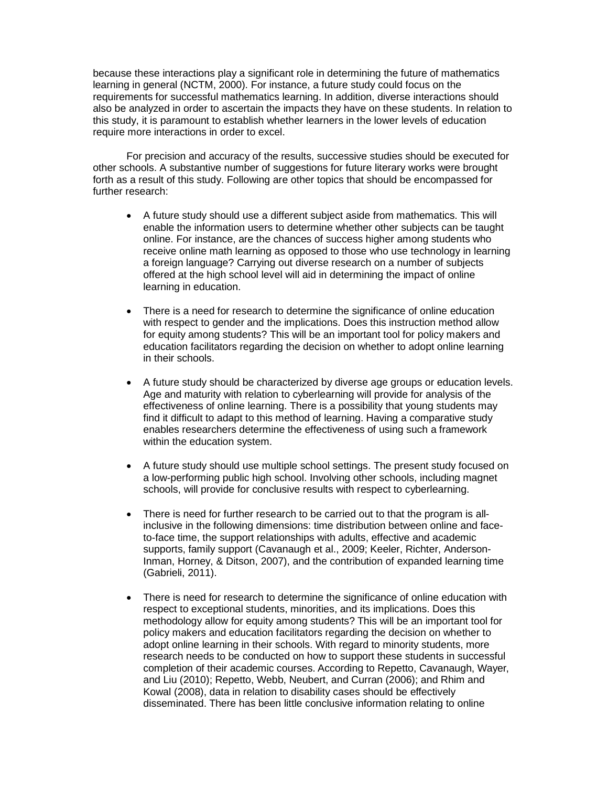because these interactions play a significant role in determining the future of mathematics learning in general (NCTM, 2000). For instance, a future study could focus on the requirements for successful mathematics learning. In addition, diverse interactions should also be analyzed in order to ascertain the impacts they have on these students. In relation to this study, it is paramount to establish whether learners in the lower levels of education require more interactions in order to excel.

For precision and accuracy of the results, successive studies should be executed for other schools. A substantive number of suggestions for future literary works were brought forth as a result of this study. Following are other topics that should be encompassed for further research:

- A future study should use a different subject aside from mathematics. This will enable the information users to determine whether other subjects can be taught online. For instance, are the chances of success higher among students who receive online math learning as opposed to those who use technology in learning a foreign language? Carrying out diverse research on a number of subjects offered at the high school level will aid in determining the impact of online learning in education.
- There is a need for research to determine the significance of online education with respect to gender and the implications. Does this instruction method allow for equity among students? This will be an important tool for policy makers and education facilitators regarding the decision on whether to adopt online learning in their schools.
- A future study should be characterized by diverse age groups or education levels. Age and maturity with relation to cyberlearning will provide for analysis of the effectiveness of online learning. There is a possibility that young students may find it difficult to adapt to this method of learning. Having a comparative study enables researchers determine the effectiveness of using such a framework within the education system.
- A future study should use multiple school settings. The present study focused on a low-performing public high school. Involving other schools, including magnet schools, will provide for conclusive results with respect to cyberlearning.
- There is need for further research to be carried out to that the program is allinclusive in the following dimensions: time distribution between online and faceto-face time, the support relationships with adults, effective and academic supports, family support (Cavanaugh et al., 2009; Keeler, Richter, Anderson-Inman, Horney, & Ditson, 2007), and the contribution of expanded learning time (Gabrieli, 2011).
- There is need for research to determine the significance of online education with respect to exceptional students, minorities, and its implications. Does this methodology allow for equity among students? This will be an important tool for policy makers and education facilitators regarding the decision on whether to adopt online learning in their schools. With regard to minority students, more research needs to be conducted on how to support these students in successful completion of their academic courses. According to Repetto, Cavanaugh, Wayer, and Liu (2010); Repetto, Webb, Neubert, and Curran (2006); and Rhim and Kowal (2008), data in relation to disability cases should be effectively disseminated. There has been little conclusive information relating to online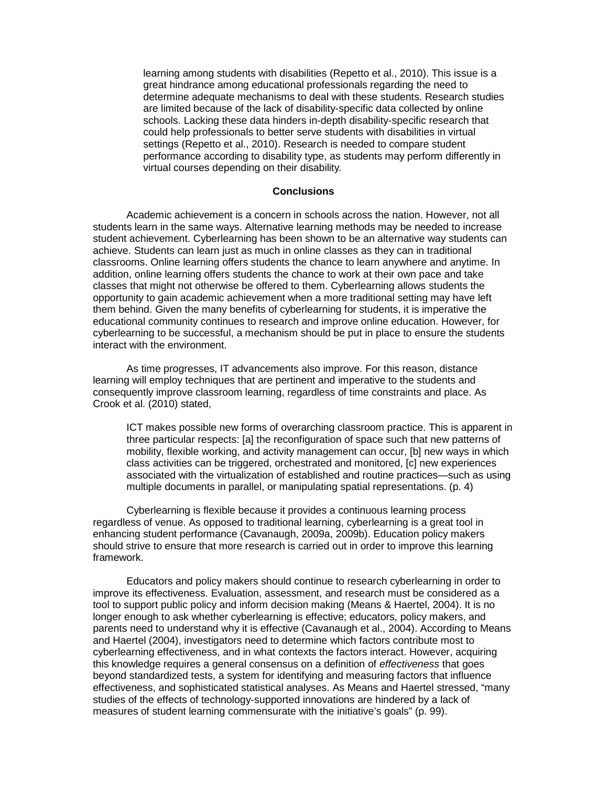learning among students with disabilities (Repetto et al., 2010). This issue is a great hindrance among educational professionals regarding the need to determine adequate mechanisms to deal with these students. Research studies are limited because of the lack of disability-specific data collected by online schools. Lacking these data hinders in-depth disability-specific research that could help professionals to better serve students with disabilities in virtual settings (Repetto et al., 2010). Research is needed to compare student performance according to disability type, as students may perform differently in virtual courses depending on their disability.

## **Conclusions**

Academic achievement is a concern in schools across the nation. However, not all students learn in the same ways. Alternative learning methods may be needed to increase student achievement. Cyberlearning has been shown to be an alternative way students can achieve. Students can learn just as much in online classes as they can in traditional classrooms. Online learning offers students the chance to learn anywhere and anytime. In addition, online learning offers students the chance to work at their own pace and take classes that might not otherwise be offered to them. Cyberlearning allows students the opportunity to gain academic achievement when a more traditional setting may have left them behind. Given the many benefits of cyberlearning for students, it is imperative the educational community continues to research and improve online education. However, for cyberlearning to be successful, a mechanism should be put in place to ensure the students interact with the environment.

As time progresses, IT advancements also improve. For this reason, distance learning will employ techniques that are pertinent and imperative to the students and consequently improve classroom learning, regardless of time constraints and place. As Crook et al. (2010) stated,

ICT makes possible new forms of overarching classroom practice. This is apparent in three particular respects: [a] the reconfiguration of space such that new patterns of mobility, flexible working, and activity management can occur, [b] new ways in which class activities can be triggered, orchestrated and monitored, [c] new experiences associated with the virtualization of established and routine practices—such as using multiple documents in parallel, or manipulating spatial representations. (p. 4)

Cyberlearning is flexible because it provides a continuous learning process regardless of venue. As opposed to traditional learning, cyberlearning is a great tool in enhancing student performance (Cavanaugh, 2009a, 2009b). Education policy makers should strive to ensure that more research is carried out in order to improve this learning framework.

Educators and policy makers should continue to research cyberlearning in order to improve its effectiveness. Evaluation, assessment, and research must be considered as a tool to support public policy and inform decision making (Means & Haertel, 2004). It is no longer enough to ask whether cyberlearning is effective; educators, policy makers, and parents need to understand why it is effective (Cavanaugh et al., 2004). According to Means and Haertel (2004), investigators need to determine which factors contribute most to cyberlearning effectiveness, and in what contexts the factors interact. However, acquiring this knowledge requires a general consensus on a definition of *effectiveness* that goes beyond standardized tests, a system for identifying and measuring factors that influence effectiveness, and sophisticated statistical analyses. As Means and Haertel stressed, "many studies of the effects of technology-supported innovations are hindered by a lack of measures of student learning commensurate with the initiative's goals" (p. 99).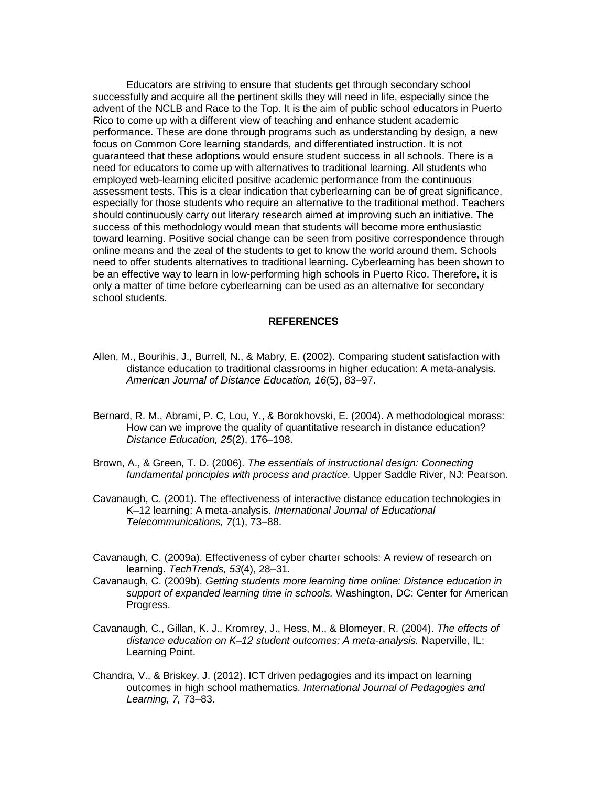Educators are striving to ensure that students get through secondary school successfully and acquire all the pertinent skills they will need in life, especially since the advent of the NCLB and Race to the Top. It is the aim of public school educators in Puerto Rico to come up with a different view of teaching and enhance student academic performance. These are done through programs such as understanding by design, a new focus on Common Core learning standards, and differentiated instruction. It is not guaranteed that these adoptions would ensure student success in all schools. There is a need for educators to come up with alternatives to traditional learning. All students who employed web-learning elicited positive academic performance from the continuous assessment tests. This is a clear indication that cyberlearning can be of great significance, especially for those students who require an alternative to the traditional method. Teachers should continuously carry out literary research aimed at improving such an initiative. The success of this methodology would mean that students will become more enthusiastic toward learning. Positive social change can be seen from positive correspondence through online means and the zeal of the students to get to know the world around them. Schools need to offer students alternatives to traditional learning. Cyberlearning has been shown to be an effective way to learn in low-performing high schools in Puerto Rico. Therefore, it is only a matter of time before cyberlearning can be used as an alternative for secondary school students.

## **REFERENCES**

- Allen, M., Bourihis, J., Burrell, N., & Mabry, E. (2002). Comparing student satisfaction with distance education to traditional classrooms in higher education: A meta-analysis. *American Journal of Distance Education, 16*(5), 83–97.
- Bernard, R. M., Abrami, P. C, Lou, Y., & Borokhovski, E. (2004). A methodological morass: How can we improve the quality of quantitative research in distance education? *Distance Education, 25*(2), 176–198.
- Brown, A., & Green, T. D. (2006). *The essentials of instructional design: Connecting fundamental principles with process and practice.* Upper Saddle River, NJ: Pearson.
- Cavanaugh, C. (2001). The effectiveness of interactive distance education technologies in K–12 learning: A meta-analysis. *International Journal of Educational Telecommunications, 7*(1), 73–88.
- Cavanaugh, C. (2009a). Effectiveness of cyber charter schools: A review of research on learning. *TechTrends, 53*(4), 28–31.
- Cavanaugh, C. (2009b). *Getting students more learning time online: Distance education in support of expanded learning time in schools.* Washington, DC: Center for American Progress.
- Cavanaugh, C., Gillan, K. J., Kromrey, J., Hess, M., & Blomeyer, R. (2004). *The effects of distance education on K–12 student outcomes: A meta-analysis.* Naperville, IL: Learning Point.
- Chandra, V., & Briskey, J. (2012). ICT driven pedagogies and its impact on learning outcomes in high school mathematics. *International Journal of Pedagogies and Learning, 7,* 73–83.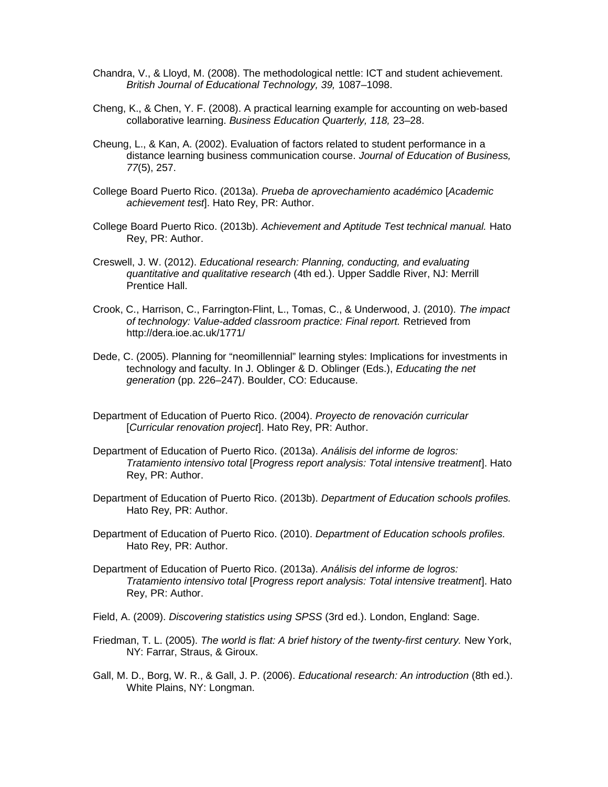- Chandra, V., & Lloyd, M. (2008). The methodological nettle: ICT and student achievement. *British Journal of Educational Technology, 39,* 1087–1098.
- Cheng, K., & Chen, Y. F. (2008). A practical learning example for accounting on web-based collaborative learning. *Business Education Quarterly, 118,* 23–28.
- Cheung, L., & Kan, A. (2002). Evaluation of factors related to student performance in a distance learning business communication course. *Journal of Education of Business, 77*(5), 257.
- College Board Puerto Rico. (2013a). *Prueba de aprovechamiento académico* [*Academic achievement test*]. Hato Rey, PR: Author.
- College Board Puerto Rico. (2013b). *Achievement and Aptitude Test technical manual.* Hato Rey, PR: Author.
- Creswell, J. W. (2012). *Educational research: Planning, conducting, and evaluating quantitative and qualitative research* (4th ed.). Upper Saddle River, NJ: Merrill Prentice Hall.
- Crook, C., Harrison, C., Farrington-Flint, L., Tomas, C., & Underwood, J. (2010). *The impact of technology: Value-added classroom practice: Final report.* Retrieved from http://dera.ioe.ac.uk/1771/
- Dede, C. (2005). Planning for "neomillennial" learning styles: Implications for investments in technology and faculty. In J. Oblinger & D. Oblinger (Eds.), *Educating the net generation* (pp. 226–247). Boulder, CO: Educause.
- Department of Education of Puerto Rico. (2004). *Proyecto de renovación curricular* [*Curricular renovation project*]. Hato Rey, PR: Author.
- Department of Education of Puerto Rico. (2013a). *Análisis del informe de logros: Tratamiento intensivo total* [*Progress report analysis: Total intensive treatment*]. Hato Rey, PR: Author.
- Department of Education of Puerto Rico. (2013b). *Department of Education schools profiles.* Hato Rey, PR: Author.
- Department of Education of Puerto Rico. (2010). *Department of Education schools profiles.* Hato Rey, PR: Author.
- Department of Education of Puerto Rico. (2013a). *Análisis del informe de logros: Tratamiento intensivo total* [*Progress report analysis: Total intensive treatment*]. Hato Rey, PR: Author.
- Field, A. (2009). *Discovering statistics using SPSS* (3rd ed.). London, England: Sage.
- Friedman, T. L. (2005). *The world is flat: A brief history of the twenty-first century.* New York, NY: Farrar, Straus, & Giroux.
- Gall, M. D., Borg, W. R., & Gall, J. P. (2006). *Educational research: An introduction* (8th ed.). White Plains, NY: Longman.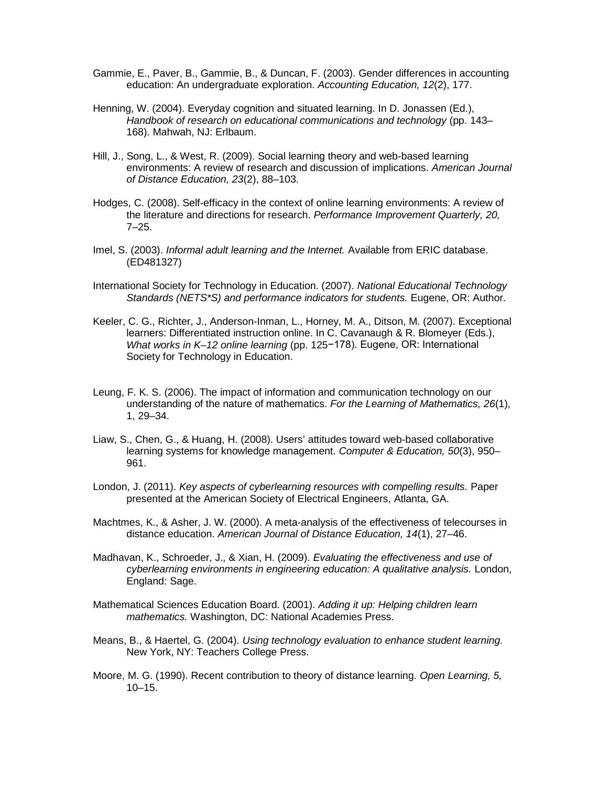- Gammie, E., Paver, B., Gammie, B., & Duncan, F. (2003). Gender differences in accounting education: An undergraduate exploration. *Accounting Education, 12*(2), 177.
- Henning, W. (2004). Everyday cognition and situated learning. In D. Jonassen (Ed.), *Handbook of research on educational communications and technology* (pp. 143– 168). Mahwah, NJ: Erlbaum.
- Hill, J., Song, L., & West, R. (2009). Social learning theory and web-based learning environments: A review of research and discussion of implications. *American Journal of Distance Education, 23*(2), 88–103.
- Hodges, C. (2008). Self-efficacy in the context of online learning environments: A review of the literature and directions for research. *Performance Improvement Quarterly, 20,* 7–25.
- Imel, S. (2003). *Informal adult learning and the Internet.* Available from ERIC database. (ED481327)
- International Society for Technology in Education. (2007). *National Educational Technology Standards (NETS\*S) and performance indicators for students.* Eugene, OR: Author.
- Keeler, C. G., Richter, J., Anderson-Inman, L., Horney, M. A., Ditson, M. (2007). Exceptional learners: Differentiated instruction online. In C. Cavanaugh & R. Blomeyer (Eds.), *What works in K–12 online learning* (pp. 125−178). Eugene, OR: International Society for Technology in Education.
- Leung, F. K. S. (2006). The impact of information and communication technology on our understanding of the nature of mathematics. *For the Learning of Mathematics, 26*(1), 1, 29–34.
- Liaw, S., Chen, G., & Huang, H. (2008). Users' attitudes toward web-based collaborative learning systems for knowledge management. *Computer & Education, 50*(3), 950– 961.
- London, J. (2011). *Key aspects of cyberlearning resources with compelling results.* Paper presented at the American Society of Electrical Engineers, Atlanta, GA.
- Machtmes, K., & Asher, J. W. (2000). A meta-analysis of the effectiveness of telecourses in distance education. *American Journal of Distance Education, 14*(1), 27–46.
- Madhavan, K., Schroeder, J., & Xian, H. (2009). *Evaluating the effectiveness and use of cyberlearning environments in engineering education: A qualitative analysis.* London, England: Sage.
- Mathematical Sciences Education Board. (2001). *Adding it up: Helping children learn mathematics.* Washington, DC: National Academies Press.
- Means, B., & Haertel, G. (2004). *Using technology evaluation to enhance student learning.* New York, NY: Teachers College Press.
- Moore, M. G. (1990). Recent contribution to theory of distance learning. *Open Learning, 5,* 10–15.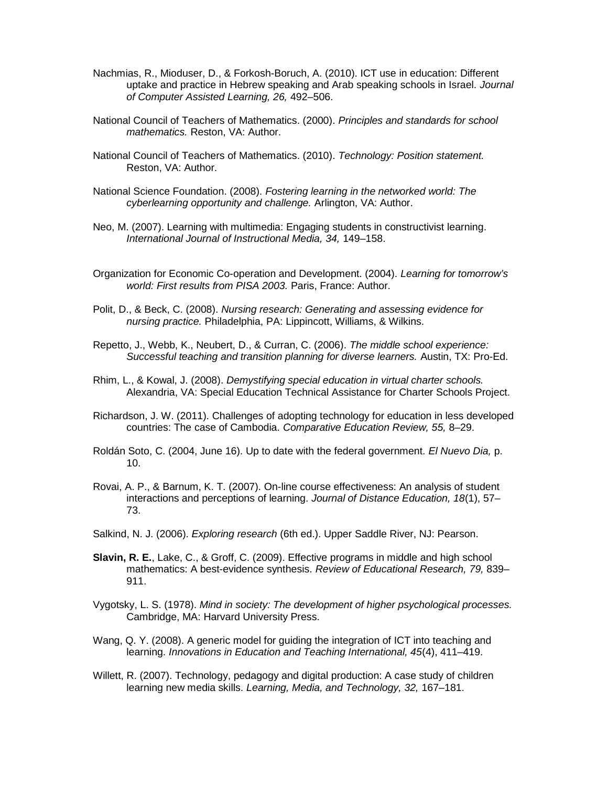- Nachmias, R., Mioduser, D., & Forkosh-Boruch, A. (2010). ICT use in education: Different uptake and practice in Hebrew speaking and Arab speaking schools in Israel. *Journal of Computer Assisted Learning, 26,* 492–506.
- National Council of Teachers of Mathematics. (2000). *Principles and standards for school mathematics.* Reston, VA: Author.
- National Council of Teachers of Mathematics. (2010). *Technology: Position statement.* Reston, VA: Author.
- National Science Foundation. (2008). *Fostering learning in the networked world: The cyberlearning opportunity and challenge.* Arlington, VA: Author.
- Neo, M. (2007). Learning with multimedia: Engaging students in constructivist learning. *International Journal of Instructional Media, 34,* 149–158.
- Organization for Economic Co-operation and Development. (2004). *Learning for tomorrow's world: First results from PISA 2003.* Paris, France: Author.
- Polit, D., & Beck, C. (2008). *Nursing research: Generating and assessing evidence for nursing practice.* Philadelphia, PA: Lippincott, Williams, & Wilkins.
- Repetto, J., Webb, K., Neubert, D., & Curran, C. (2006). *The middle school experience: Successful teaching and transition planning for diverse learners.* Austin, TX: Pro-Ed.
- Rhim, L., & Kowal, J. (2008). *Demystifying special education in virtual charter schools.* Alexandria, VA: Special Education Technical Assistance for Charter Schools Project.
- Richardson, J. W. (2011). Challenges of adopting technology for education in less developed countries: The case of Cambodia. *Comparative Education Review, 55,* 8–29.
- Roldán Soto, C. (2004, June 16). Up to date with the federal government. *El Nuevo Dia,* p. 10.
- Rovai, A. P., & Barnum, K. T. (2007). On-line course effectiveness: An analysis of student interactions and perceptions of learning. *Journal of Distance Education, 18*(1), 57– 73.
- Salkind, N. J. (2006). *Exploring research* (6th ed.). Upper Saddle River, NJ: Pearson.
- **Slavin, R. E.**, Lake, C., & Groff, C. (2009). Effective programs in middle and high school mathematics: A best-evidence synthesis. *Review of Educational Research, 79,* 839– 911.
- Vygotsky, L. S. (1978). *Mind in society: The development of higher psychological processes.* Cambridge, MA: Harvard University Press.
- Wang, Q. Y. (2008). A generic model for guiding the integration of ICT into teaching and learning. *Innovations in Education and Teaching International, 45*(4), 411–419.
- Willett, R. (2007). Technology, pedagogy and digital production: A case study of children learning new media skills. *Learning, Media, and Technology, 32,* 167–181.